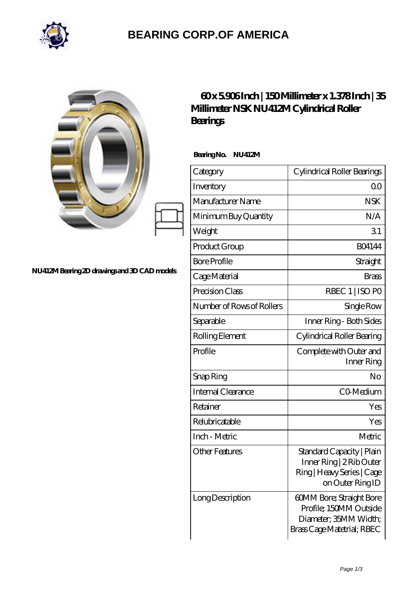

## **[BEARING CORP.OF AMERICA](https://bluemondayreview.com)**

|                                              | Millimeter NSK NU412M Cylindrical Roller<br>Bearings | $\frac{130}{15}$ and $\frac{150}{15}$ and $\frac{137}{15}$ and $\frac{137}{15}$                           |
|----------------------------------------------|------------------------------------------------------|-----------------------------------------------------------------------------------------------------------|
| NU412M Bearing 2D drawings and 3D CAD models | Bearing No. NU412M                                   |                                                                                                           |
|                                              | Category                                             | Cylindrical Roller Bearings                                                                               |
|                                              | Inventory                                            | 0 <sub>0</sub>                                                                                            |
|                                              | Manufacturer Name                                    | <b>NSK</b>                                                                                                |
|                                              | Minimum Buy Quantity                                 | N/A                                                                                                       |
|                                              | Weight                                               | 31                                                                                                        |
|                                              | Product Group                                        | <b>BO4144</b>                                                                                             |
|                                              | <b>Bore Profile</b>                                  | Straight                                                                                                  |
|                                              | Cage Material                                        | <b>Brass</b>                                                                                              |
|                                              | Precision Class                                      | RBEC 1   ISO PO                                                                                           |
|                                              | Number of Rows of Rollers                            | Single Row                                                                                                |
|                                              | Separable                                            | Inner Ring - Both Sides                                                                                   |
|                                              | Rolling Element                                      | Cylindrical Roller Bearing                                                                                |
|                                              | Profile                                              | Complete with Outer and<br>Inner Ring                                                                     |
|                                              | Snap Ring                                            | No                                                                                                        |
|                                              | <b>Internal Clearance</b>                            | CO-Medium                                                                                                 |
|                                              | Retainer                                             | Yes                                                                                                       |
|                                              | Relubricatable                                       | Yes                                                                                                       |
|                                              | Inch - Metric                                        | Metric                                                                                                    |
|                                              | <b>Other Features</b>                                | Standard Capacity   Plain<br>Inner Ring   2 Rib Outer<br>Ring   Heavy Series   Cage<br>on Outer Ring ID   |
|                                              | Long Description                                     | 60MM Bore; Straight Bore<br>Profile; 150MM Outside<br>Diameter; 35MM Width;<br>Brass Cage Matetrial; RBEC |

 $\overline{\phantom{a}}$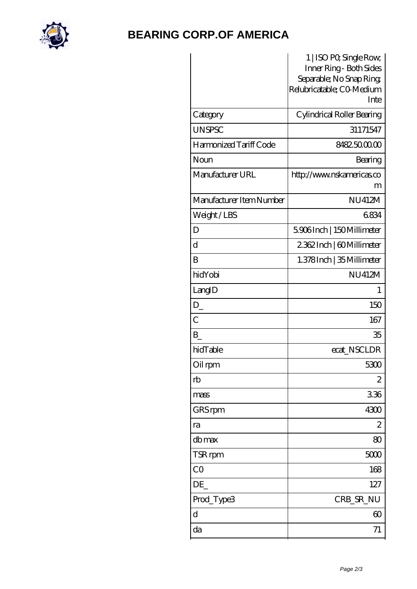

## **[BEARING CORP.OF AMERICA](https://bluemondayreview.com)**

|                          | 1   ISO PO, Single Row,<br>Inner Ring - Both Sides<br>Separable; No Snap Ring,<br>Relubricatable; CO Medium<br>Inte |
|--------------------------|---------------------------------------------------------------------------------------------------------------------|
| Category                 | Cylindrical Roller Bearing                                                                                          |
| <b>UNSPSC</b>            | 31171547                                                                                                            |
| Harmonized Tariff Code   | 8482500000                                                                                                          |
| Noun                     | Bearing                                                                                                             |
| Manufacturer URL         | http://www.nskamericas.co<br>m                                                                                      |
| Manufacturer Item Number | <b>NU412M</b>                                                                                                       |
| Weight/LBS               | 6834                                                                                                                |
| D                        | 5906Inch   150Millimeter                                                                                            |
| $\mathbf d$              | 2362Inch   60Millimeter                                                                                             |
| B                        | 1.378 Inch   35 Millimeter                                                                                          |
| hidYobi                  | <b>NU412M</b>                                                                                                       |
| LangID                   | 1                                                                                                                   |
| $D_{-}$                  | 150                                                                                                                 |
| $\overline{C}$           | 167                                                                                                                 |
| B                        | 35                                                                                                                  |
| hidTable                 | ecat_NSCLDR                                                                                                         |
| Oil rpm                  | 5300                                                                                                                |
| rb                       | 2                                                                                                                   |
| mass                     | 336                                                                                                                 |
| GRS rpm                  | 4300                                                                                                                |
| ra                       | $\mathbf{z}$                                                                                                        |
| dbmax                    | 80                                                                                                                  |
| TSR rpm                  | 5000                                                                                                                |
| CO                       | 168                                                                                                                 |
| DE                       | 127                                                                                                                 |
| Prod_Type3               | CRB_SR_NU                                                                                                           |
| $\mathbf d$              | $\infty$                                                                                                            |
| da                       | 71                                                                                                                  |